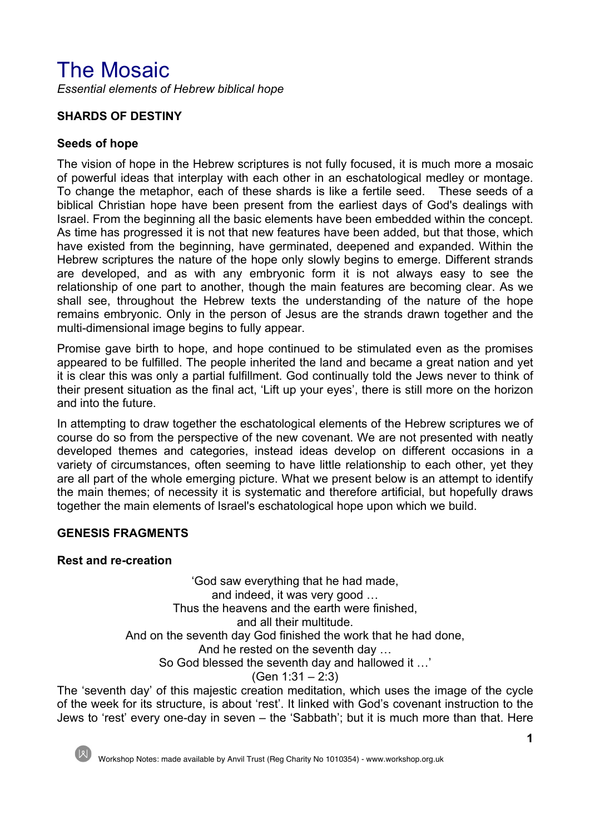# The Mosaic

*Essential elements of Hebrew biblical hope*

# **SHARDS OF DESTINY**

## **Seeds of hope**

The vision of hope in the Hebrew scriptures is not fully focused, it is much more a mosaic of powerful ideas that interplay with each other in an eschatological medley or montage. To change the metaphor, each of these shards is like a fertile seed. These seeds of a biblical Christian hope have been present from the earliest days of God's dealings with Israel. From the beginning all the basic elements have been embedded within the concept. As time has progressed it is not that new features have been added, but that those, which have existed from the beginning, have germinated, deepened and expanded. Within the Hebrew scriptures the nature of the hope only slowly begins to emerge. Different strands are developed, and as with any embryonic form it is not always easy to see the relationship of one part to another, though the main features are becoming clear. As we shall see, throughout the Hebrew texts the understanding of the nature of the hope remains embryonic. Only in the person of Jesus are the strands drawn together and the multi-dimensional image begins to fully appear.

Promise gave birth to hope, and hope continued to be stimulated even as the promises appeared to be fulfilled. The people inherited the land and became a great nation and yet it is clear this was only a partial fulfillment. God continually told the Jews never to think of their present situation as the final act, 'Lift up your eyes', there is still more on the horizon and into the future.

In attempting to draw together the eschatological elements of the Hebrew scriptures we of course do so from the perspective of the new covenant. We are not presented with neatly developed themes and categories, instead ideas develop on different occasions in a variety of circumstances, often seeming to have little relationship to each other, yet they are all part of the whole emerging picture. What we present below is an attempt to identify the main themes; of necessity it is systematic and therefore artificial, but hopefully draws together the main elements of Israel's eschatological hope upon which we build.

## **GENESIS FRAGMENTS**

## **Rest and re-creation**

'God saw everything that he had made, and indeed, it was very good … Thus the heavens and the earth were finished, and all their multitude. And on the seventh day God finished the work that he had done, And he rested on the seventh day … So God blessed the seventh day and hallowed it …' (Gen 1:31 – 2:3)

The 'seventh day' of this majestic creation meditation, which uses the image of the cycle of the week for its structure, is about 'rest'. It linked with God's covenant instruction to the Jews to 'rest' every one-day in seven – the 'Sabbath'; but it is much more than that. Here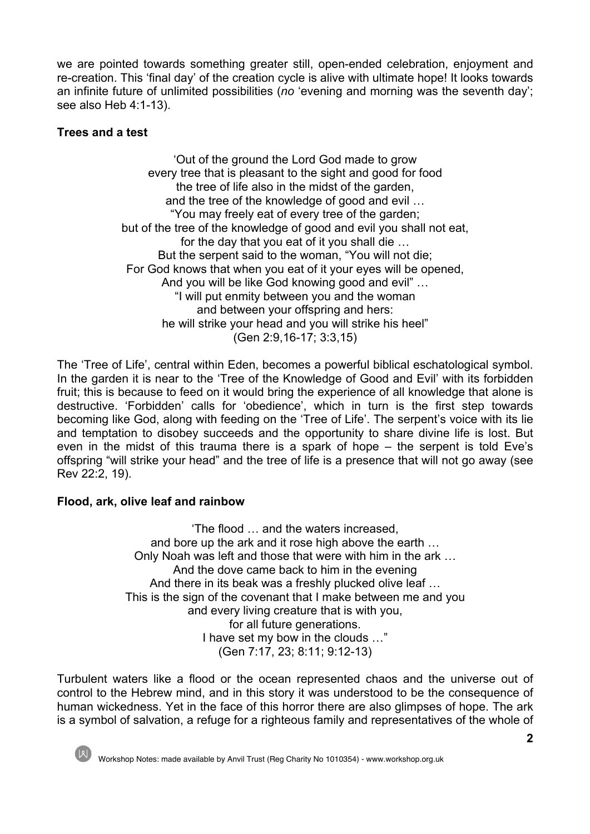we are pointed towards something greater still, open-ended celebration, enjoyment and re-creation. This 'final day' of the creation cycle is alive with ultimate hope! It looks towards an infinite future of unlimited possibilities (*no* 'evening and morning was the seventh day'; see also Heb 4:1-13).

# **Trees and a test**

'Out of the ground the Lord God made to grow every tree that is pleasant to the sight and good for food the tree of life also in the midst of the garden, and the tree of the knowledge of good and evil … "You may freely eat of every tree of the garden; but of the tree of the knowledge of good and evil you shall not eat, for the day that you eat of it you shall die … But the serpent said to the woman, "You will not die; For God knows that when you eat of it your eyes will be opened, And you will be like God knowing good and evil" … "I will put enmity between you and the woman and between your offspring and hers: he will strike your head and you will strike his heel" (Gen 2:9,16-17; 3:3,15)

The 'Tree of Life', central within Eden, becomes a powerful biblical eschatological symbol. In the garden it is near to the 'Tree of the Knowledge of Good and Evil' with its forbidden fruit; this is because to feed on it would bring the experience of all knowledge that alone is destructive. 'Forbidden' calls for 'obedience', which in turn is the first step towards becoming like God, along with feeding on the 'Tree of Life'. The serpent's voice with its lie and temptation to disobey succeeds and the opportunity to share divine life is lost. But even in the midst of this trauma there is a spark of hope – the serpent is told Eve's offspring "will strike your head" and the tree of life is a presence that will not go away (see Rev 22:2, 19).

## **Flood, ark, olive leaf and rainbow**

'The flood … and the waters increased, and bore up the ark and it rose high above the earth … Only Noah was left and those that were with him in the ark … And the dove came back to him in the evening And there in its beak was a freshly plucked olive leaf … This is the sign of the covenant that I make between me and you and every living creature that is with you, for all future generations. I have set my bow in the clouds …" (Gen 7:17, 23; 8:11; 9:12-13)

Turbulent waters like a flood or the ocean represented chaos and the universe out of control to the Hebrew mind, and in this story it was understood to be the consequence of human wickedness. Yet in the face of this horror there are also glimpses of hope. The ark is a symbol of salvation, a refuge for a righteous family and representatives of the whole of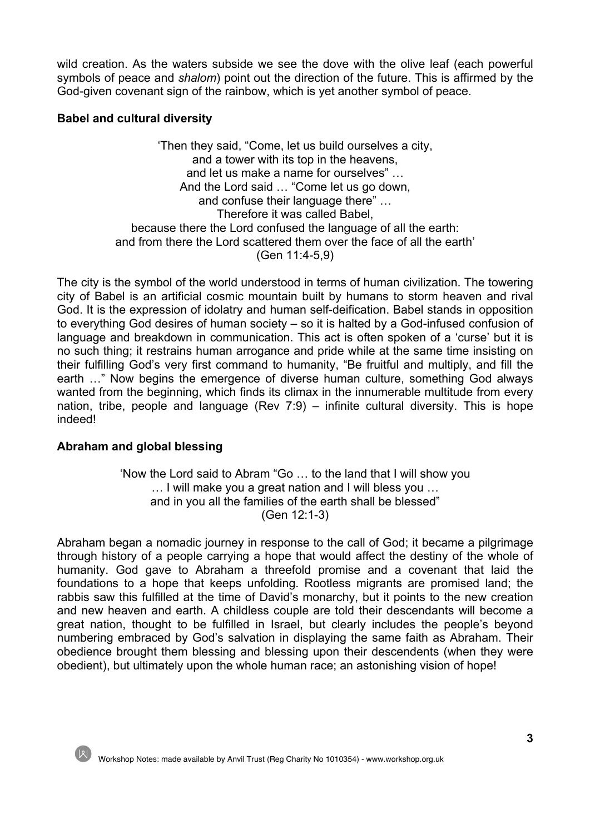wild creation. As the waters subside we see the dove with the olive leaf (each powerful symbols of peace and *shalom*) point out the direction of the future. This is affirmed by the God-given covenant sign of the rainbow, which is yet another symbol of peace.

## **Babel and cultural diversity**

'Then they said, "Come, let us build ourselves a city, and a tower with its top in the heavens, and let us make a name for ourselves" … And the Lord said ... "Come let us go down, and confuse their language there" … Therefore it was called Babel, because there the Lord confused the language of all the earth: and from there the Lord scattered them over the face of all the earth' (Gen 11:4-5,9)

The city is the symbol of the world understood in terms of human civilization. The towering city of Babel is an artificial cosmic mountain built by humans to storm heaven and rival God. It is the expression of idolatry and human self-deification. Babel stands in opposition to everything God desires of human society – so it is halted by a God-infused confusion of language and breakdown in communication. This act is often spoken of a 'curse' but it is no such thing; it restrains human arrogance and pride while at the same time insisting on their fulfilling God's very first command to humanity, "Be fruitful and multiply, and fill the earth …" Now begins the emergence of diverse human culture, something God always wanted from the beginning, which finds its climax in the innumerable multitude from every nation, tribe, people and language (Rev 7:9) – infinite cultural diversity. This is hope indeed!

## **Abraham and global blessing**

'Now the Lord said to Abram "Go … to the land that I will show you … I will make you a great nation and I will bless you … and in you all the families of the earth shall be blessed" (Gen 12:1-3)

Abraham began a nomadic journey in response to the call of God; it became a pilgrimage through history of a people carrying a hope that would affect the destiny of the whole of humanity. God gave to Abraham a threefold promise and a covenant that laid the foundations to a hope that keeps unfolding. Rootless migrants are promised land; the rabbis saw this fulfilled at the time of David's monarchy, but it points to the new creation and new heaven and earth. A childless couple are told their descendants will become a great nation, thought to be fulfilled in Israel, but clearly includes the people's beyond numbering embraced by God's salvation in displaying the same faith as Abraham. Their obedience brought them blessing and blessing upon their descendents (when they were obedient), but ultimately upon the whole human race; an astonishing vision of hope!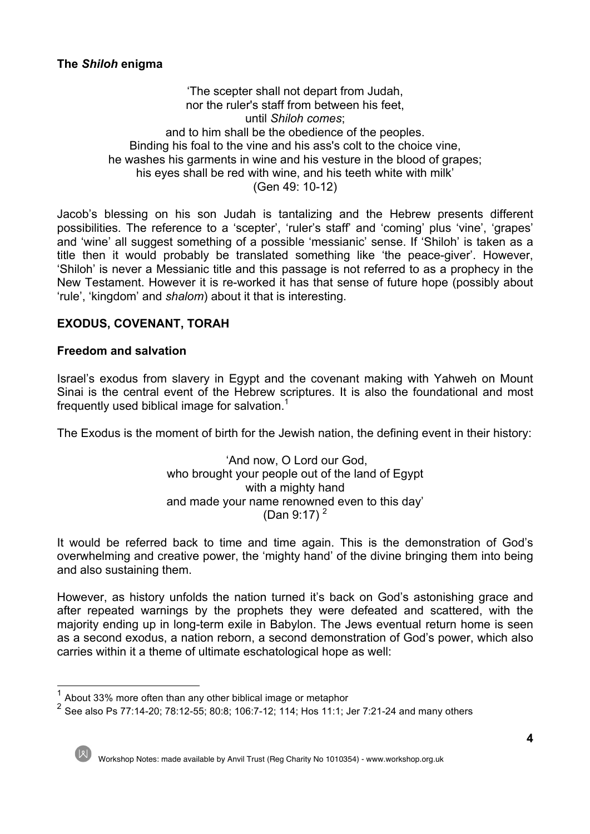## **The** *Shiloh* **enigma**

#### 'The scepter shall not depart from Judah, nor the ruler's staff from between his feet, until *Shiloh comes*; and to him shall be the obedience of the peoples. Binding his foal to the vine and his ass's colt to the choice vine, he washes his garments in wine and his vesture in the blood of grapes; his eyes shall be red with wine, and his teeth white with milk' (Gen 49: 10-12)

Jacob's blessing on his son Judah is tantalizing and the Hebrew presents different possibilities. The reference to a 'scepter', 'ruler's staff' and 'coming' plus 'vine', 'grapes' and 'wine' all suggest something of a possible 'messianic' sense. If 'Shiloh' is taken as a title then it would probably be translated something like 'the peace-giver'. However, 'Shiloh' is never a Messianic title and this passage is not referred to as a prophecy in the New Testament. However it is re-worked it has that sense of future hope (possibly about 'rule', 'kingdom' and *shalom*) about it that is interesting.

## **EXODUS, COVENANT, TORAH**

### **Freedom and salvation**

Israel's exodus from slavery in Egypt and the covenant making with Yahweh on Mount Sinai is the central event of the Hebrew scriptures. It is also the foundational and most frequently used biblical image for salvation.<sup>1</sup>

The Exodus is the moment of birth for the Jewish nation, the defining event in their history:

'And now, O Lord our God, who brought your people out of the land of Egypt with a mighty hand and made your name renowned even to this day' (Dan 9:17)<sup>2</sup>

It would be referred back to time and time again. This is the demonstration of God's overwhelming and creative power, the 'mighty hand' of the divine bringing them into being and also sustaining them.

However, as history unfolds the nation turned it's back on God's astonishing grace and after repeated warnings by the prophets they were defeated and scattered, with the majority ending up in long-term exile in Babylon. The Jews eventual return home is seen as a second exodus, a nation reborn, a second demonstration of God's power, which also carries within it a theme of ultimate eschatological hope as well:

<sup>1</sup> About 33% more often than any other biblical image or metaphor

<sup>&</sup>lt;sup>2</sup> See also Ps 77:14-20; 78:12-55; 80:8; 106:7-12; 114; Hos 11:1; Jer 7:21-24 and many others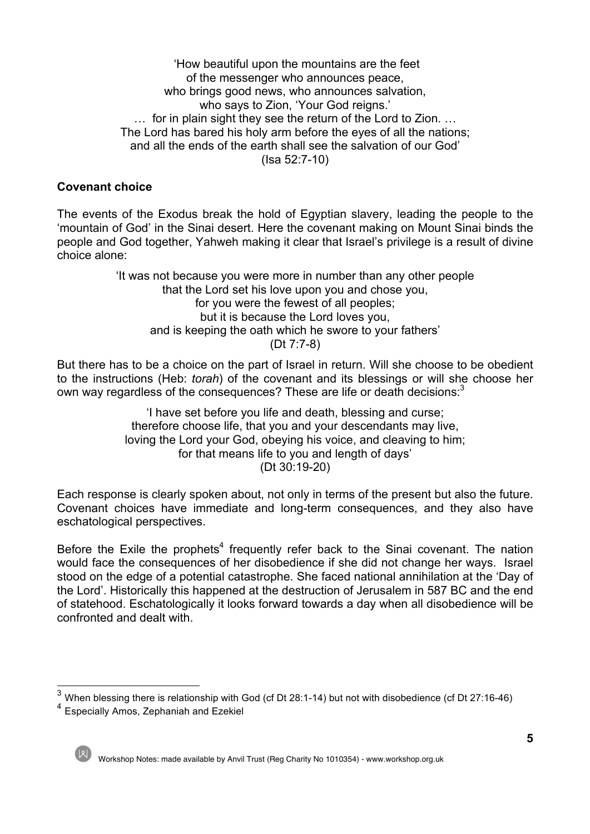'How beautiful upon the mountains are the feet of the messenger who announces peace, who brings good news, who announces salvation, who says to Zion, 'Your God reigns.' … for in plain sight they see the return of the Lord to Zion. … The Lord has bared his holy arm before the eyes of all the nations; and all the ends of the earth shall see the salvation of our God' (Isa 52:7-10)

## **Covenant choice**

The events of the Exodus break the hold of Egyptian slavery, leading the people to the 'mountain of God' in the Sinai desert. Here the covenant making on Mount Sinai binds the people and God together, Yahweh making it clear that Israel's privilege is a result of divine choice alone:

> 'It was not because you were more in number than any other people that the Lord set his love upon you and chose you, for you were the fewest of all peoples; but it is because the Lord loves you, and is keeping the oath which he swore to your fathers' (Dt 7:7-8)

But there has to be a choice on the part of Israel in return. Will she choose to be obedient to the instructions (Heb: *torah*) of the covenant and its blessings or will she choose her own way regardless of the consequences? These are life or death decisions:<sup>3</sup>

> 'I have set before you life and death, blessing and curse; therefore choose life, that you and your descendants may live, loving the Lord your God, obeying his voice, and cleaving to him; for that means life to you and length of days' (Dt 30:19-20)

Each response is clearly spoken about, not only in terms of the present but also the future. Covenant choices have immediate and long-term consequences, and they also have eschatological perspectives.

Before the Exile the prophets<sup>4</sup> frequently refer back to the Sinai covenant. The nation would face the consequences of her disobedience if she did not change her ways. Israel stood on the edge of a potential catastrophe. She faced national annihilation at the 'Day of the Lord'. Historically this happened at the destruction of Jerusalem in 587 BC and the end of statehood. Eschatologically it looks forward towards a day when all disobedience will be confronted and dealt with.

<sup>4</sup> Especially Amos, Zephaniah and Ezekiel



<sup>3</sup> When blessing there is relationship with God (cf Dt 28:1-14) but not with disobedience (cf Dt 27:16-46)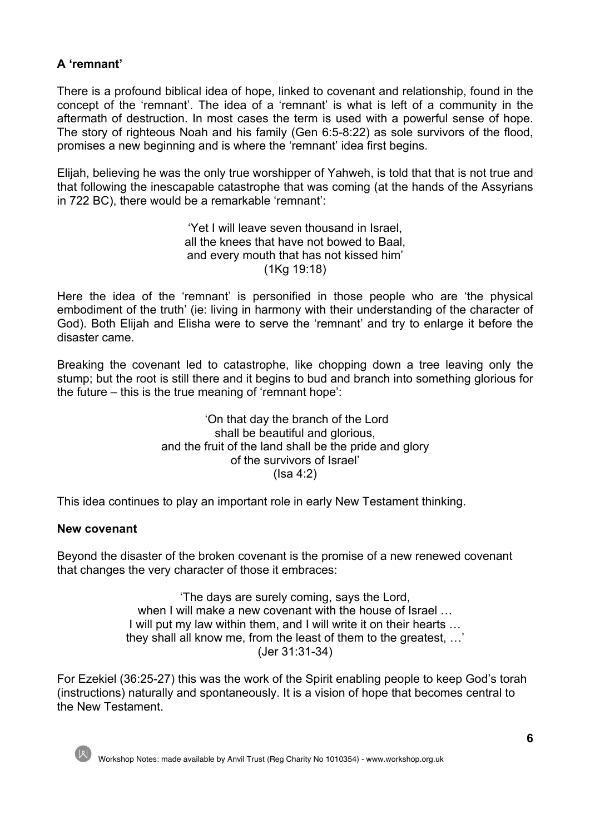# **A 'remnant'**

There is a profound biblical idea of hope, linked to covenant and relationship, found in the concept of the 'remnant'. The idea of a 'remnant' is what is left of a community in the aftermath of destruction. In most cases the term is used with a powerful sense of hope. The story of righteous Noah and his family (Gen 6:5-8:22) as sole survivors of the flood, promises a new beginning and is where the 'remnant' idea first begins.

Elijah, believing he was the only true worshipper of Yahweh, is told that that is not true and that following the inescapable catastrophe that was coming (at the hands of the Assyrians in 722 BC), there would be a remarkable 'remnant':

> 'Yet I will leave seven thousand in Israel, all the knees that have not bowed to Baal, and every mouth that has not kissed him' (1Kg 19:18)

Here the idea of the 'remnant' is personified in those people who are 'the physical embodiment of the truth' (ie: living in harmony with their understanding of the character of God). Both Elijah and Elisha were to serve the 'remnant' and try to enlarge it before the disaster came.

Breaking the covenant led to catastrophe, like chopping down a tree leaving only the stump; but the root is still there and it begins to bud and branch into something glorious for the future – this is the true meaning of 'remnant hope':

> 'On that day the branch of the Lord shall be beautiful and glorious, and the fruit of the land shall be the pride and glory of the survivors of Israel'  $(Isa 4:2)$

This idea continues to play an important role in early New Testament thinking.

### **New covenant**

Beyond the disaster of the broken covenant is the promise of a new renewed covenant that changes the very character of those it embraces:

> 'The days are surely coming, says the Lord, when I will make a new covenant with the house of Israel … I will put my law within them, and I will write it on their hearts … they shall all know me, from the least of them to the greatest, …' (Jer 31:31-34)

For Ezekiel (36:25-27) this was the work of the Spirit enabling people to keep God's torah (instructions) naturally and spontaneously. It is a vision of hope that becomes central to the New Testament.

Workshop Notes: made available by Anvil Trust (Reg Charity No 1010354) - www.workshop.org.uk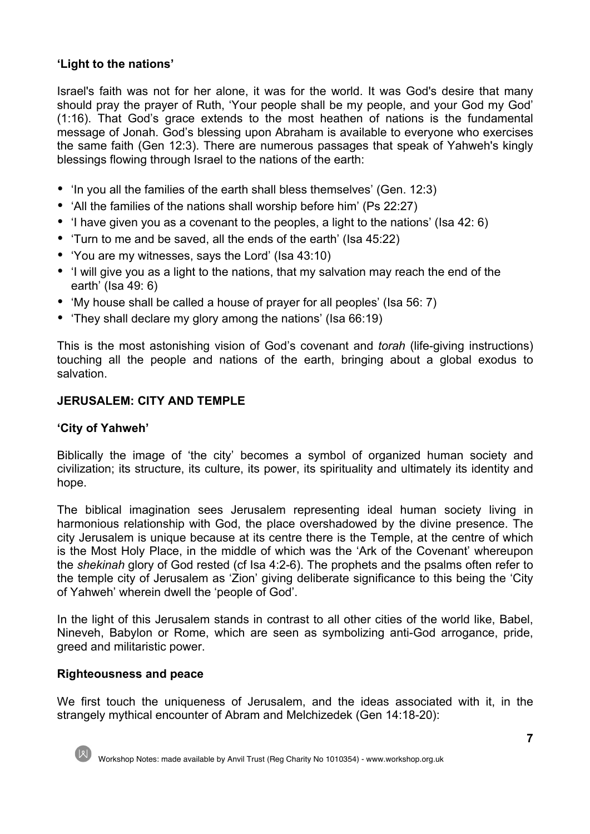# **'Light to the nations'**

Israel's faith was not for her alone, it was for the world. It was God's desire that many should pray the prayer of Ruth, 'Your people shall be my people, and your God my God' (1:16). That God's grace extends to the most heathen of nations is the fundamental message of Jonah. God's blessing upon Abraham is available to everyone who exercises the same faith (Gen 12:3). There are numerous passages that speak of Yahweh's kingly blessings flowing through Israel to the nations of the earth:

- 'In you all the families of the earth shall bless themselves' (Gen. 12:3)
- 'All the families of the nations shall worship before him' (Ps 22:27)
- 'I have given you as a covenant to the peoples, a light to the nations' (Isa 42: 6)
- 'Turn to me and be saved, all the ends of the earth' (Isa 45:22)
- 'You are my witnesses, says the Lord' (Isa 43:10)
- 'I will give you as a light to the nations, that my salvation may reach the end of the earth' (Isa 49: 6)
- 'My house shall be called a house of prayer for all peoples' (Isa 56: 7)
- 'They shall declare my glory among the nations' (Isa 66:19)

This is the most astonishing vision of God's covenant and *torah* (life-giving instructions) touching all the people and nations of the earth, bringing about a global exodus to salvation.

## **JERUSALEM: CITY AND TEMPLE**

## **'City of Yahweh'**

Biblically the image of 'the city' becomes a symbol of organized human society and civilization; its structure, its culture, its power, its spirituality and ultimately its identity and hope.

The biblical imagination sees Jerusalem representing ideal human society living in harmonious relationship with God, the place overshadowed by the divine presence. The city Jerusalem is unique because at its centre there is the Temple, at the centre of which is the Most Holy Place, in the middle of which was the 'Ark of the Covenant' whereupon the *shekinah* glory of God rested (cf Isa 4:2-6). The prophets and the psalms often refer to the temple city of Jerusalem as 'Zion' giving deliberate significance to this being the 'City of Yahweh' wherein dwell the 'people of God'.

In the light of this Jerusalem stands in contrast to all other cities of the world like, Babel, Nineveh, Babylon or Rome, which are seen as symbolizing anti-God arrogance, pride, greed and militaristic power.

## **Righteousness and peace**

We first touch the uniqueness of Jerusalem, and the ideas associated with it, in the strangely mythical encounter of Abram and Melchizedek (Gen 14:18-20):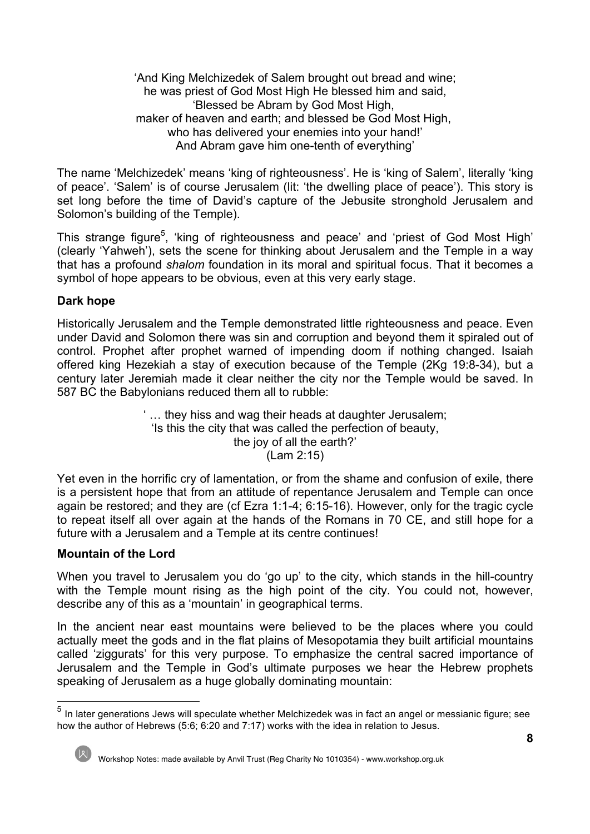'And King Melchizedek of Salem brought out bread and wine; he was priest of God Most High He blessed him and said, 'Blessed be Abram by God Most High, maker of heaven and earth; and blessed be God Most High, who has delivered your enemies into your hand!' And Abram gave him one-tenth of everything'

The name 'Melchizedek' means 'king of righteousness'. He is 'king of Salem', literally 'king of peace'. 'Salem' is of course Jerusalem (lit: 'the dwelling place of peace'). This story is set long before the time of David's capture of the Jebusite stronghold Jerusalem and Solomon's building of the Temple).

This strange figure<sup>5</sup>, 'king of righteousness and peace' and 'priest of God Most High' (clearly 'Yahweh'), sets the scene for thinking about Jerusalem and the Temple in a way that has a profound *shalom* foundation in its moral and spiritual focus. That it becomes a symbol of hope appears to be obvious, even at this very early stage.

## **Dark hope**

Historically Jerusalem and the Temple demonstrated little righteousness and peace. Even under David and Solomon there was sin and corruption and beyond them it spiraled out of control. Prophet after prophet warned of impending doom if nothing changed. Isaiah offered king Hezekiah a stay of execution because of the Temple (2Kg 19:8-34), but a century later Jeremiah made it clear neither the city nor the Temple would be saved. In 587 BC the Babylonians reduced them all to rubble:

> ' … they hiss and wag their heads at daughter Jerusalem; 'Is this the city that was called the perfection of beauty, the joy of all the earth?' (Lam 2:15)

Yet even in the horrific cry of lamentation, or from the shame and confusion of exile, there is a persistent hope that from an attitude of repentance Jerusalem and Temple can once again be restored; and they are (cf Ezra 1:1-4; 6:15-16). However, only for the tragic cycle to repeat itself all over again at the hands of the Romans in 70 CE, and still hope for a future with a Jerusalem and a Temple at its centre continues!

## **Mountain of the Lord**

When you travel to Jerusalem you do 'go up' to the city, which stands in the hill-country with the Temple mount rising as the high point of the city. You could not, however, describe any of this as a 'mountain' in geographical terms.

In the ancient near east mountains were believed to be the places where you could actually meet the gods and in the flat plains of Mesopotamia they built artificial mountains called 'ziggurats' for this very purpose. To emphasize the central sacred importance of Jerusalem and the Temple in God's ultimate purposes we hear the Hebrew prophets speaking of Jerusalem as a huge globally dominating mountain:

<sup>&</sup>lt;sup>5</sup> In later generations Jews will speculate whether Melchizedek was in fact an angel or messianic figure; see how the author of Hebrews (5:6; 6:20 and 7:17) works with the idea in relation to Jesus.

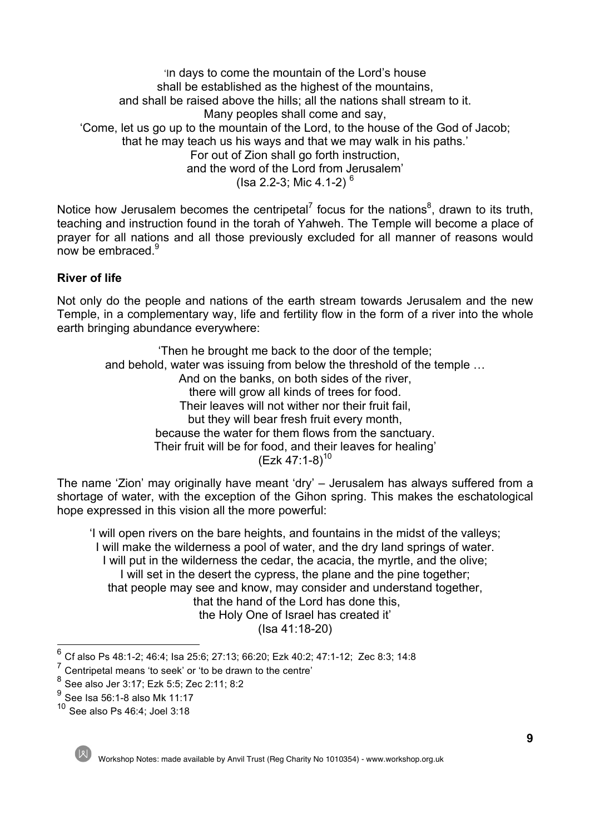'In days to come the mountain of the Lord's house shall be established as the highest of the mountains, and shall be raised above the hills; all the nations shall stream to it. Many peoples shall come and say, 'Come, let us go up to the mountain of the Lord, to the house of the God of Jacob; that he may teach us his ways and that we may walk in his paths.' For out of Zion shall go forth instruction, and the word of the Lord from Jerusalem' (Isa 2.2-3; Mic 4.1-2)<sup>6</sup>

Notice how Jerusalem becomes the centripetal<sup>7</sup> focus for the nations<sup>8</sup>, drawn to its truth, teaching and instruction found in the torah of Yahweh. The Temple will become a place of prayer for all nations and all those previously excluded for all manner of reasons would now be embraced.<sup>9</sup>

## **River of life**

Not only do the people and nations of the earth stream towards Jerusalem and the new Temple, in a complementary way, life and fertility flow in the form of a river into the whole earth bringing abundance everywhere:

'Then he brought me back to the door of the temple; and behold, water was issuing from below the threshold of the temple … And on the banks, on both sides of the river, there will grow all kinds of trees for food. Their leaves will not wither nor their fruit fail, but they will bear fresh fruit every month, because the water for them flows from the sanctuary. Their fruit will be for food, and their leaves for healing'  $(Ezk 47:1-8)^{10}$ 

The name 'Zion' may originally have meant 'dry' – Jerusalem has always suffered from a shortage of water, with the exception of the Gihon spring. This makes the eschatological hope expressed in this vision all the more powerful:

'I will open rivers on the bare heights, and fountains in the midst of the valleys; I will make the wilderness a pool of water, and the dry land springs of water. I will put in the wilderness the cedar, the acacia, the myrtle, and the olive; I will set in the desert the cypress, the plane and the pine together; that people may see and know, may consider and understand together, that the hand of the Lord has done this, the Holy One of Israel has created it' (Isa 41:18-20)

<sup>10</sup> See also Ps 46:4; Joel 3:18



Workshop Notes: made available by Anvil Trust (Reg Charity No 1010354) - www.workshop.org.uk

<sup>6</sup> Cf also Ps 48:1-2; 46:4; Isa 25:6; 27:13; 66:20; Ezk 40:2; 47:1-12; Zec 8:3; 14:8

<sup>7</sup> Centripetal means 'to seek' or 'to be drawn to the centre'

<sup>8</sup> See also Jer 3:17; Ezk 5:5; Zec 2:11; 8:2

 $^{9}$  See Isa 56:1-8 also Mk 11:17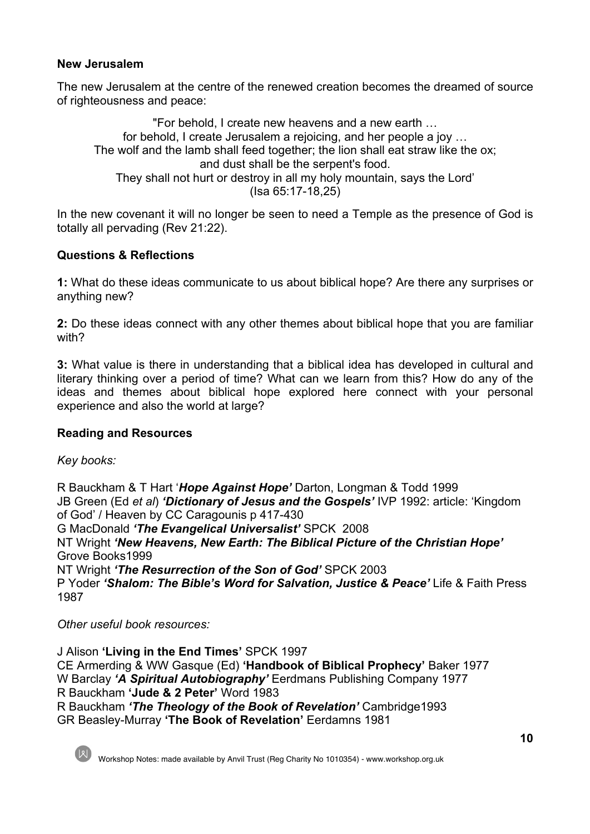## **New Jerusalem**

The new Jerusalem at the centre of the renewed creation becomes the dreamed of source of righteousness and peace:

"For behold, I create new heavens and a new earth … for behold, I create Jerusalem a rejoicing, and her people a joy … The wolf and the lamb shall feed together; the lion shall eat straw like the ox; and dust shall be the serpent's food. They shall not hurt or destroy in all my holy mountain, says the Lord' (Isa 65:17-18,25)

In the new covenant it will no longer be seen to need a Temple as the presence of God is totally all pervading (Rev 21:22).

## **Questions & Reflections**

**1:** What do these ideas communicate to us about biblical hope? Are there any surprises or anything new?

**2:** Do these ideas connect with any other themes about biblical hope that you are familiar with?

**3:** What value is there in understanding that a biblical idea has developed in cultural and literary thinking over a period of time? What can we learn from this? How do any of the ideas and themes about biblical hope explored here connect with your personal experience and also the world at large?

### **Reading and Resources**

*Key books:*

R Bauckham & T Hart '*Hope Against Hope'* Darton, Longman & Todd 1999 JB Green (Ed *et al*) *'Dictionary of Jesus and the Gospels'* IVP 1992: article: 'Kingdom of God' / Heaven by CC Caragounis p 417-430 G MacDonald *'The Evangelical Universalist'* SPCK 2008 NT Wright *'New Heavens, New Earth: The Biblical Picture of the Christian Hope'* Grove Books1999 NT Wright *'The Resurrection of the Son of God'* SPCK 2003 P Yoder *'Shalom: The Bible's Word for Salvation, Justice & Peace'* Life & Faith Press 1987

*Other useful book resources:*

J Alison **'Living in the End Times'** SPCK 1997 CE Armerding & WW Gasque (Ed) **'Handbook of Biblical Prophecy'** Baker 1977 W Barclay *'A Spiritual Autobiography'* Eerdmans Publishing Company 1977 R Bauckham **'Jude & 2 Peter'** Word 1983 R Bauckham *'The Theology of the Book of Revelation'* Cambridge1993 GR Beasley-Murray **'The Book of Revelation'** Eerdamns 1981



Workshop Notes: made available by Anvil Trust (Reg Charity No 1010354) - www.workshop.org.uk